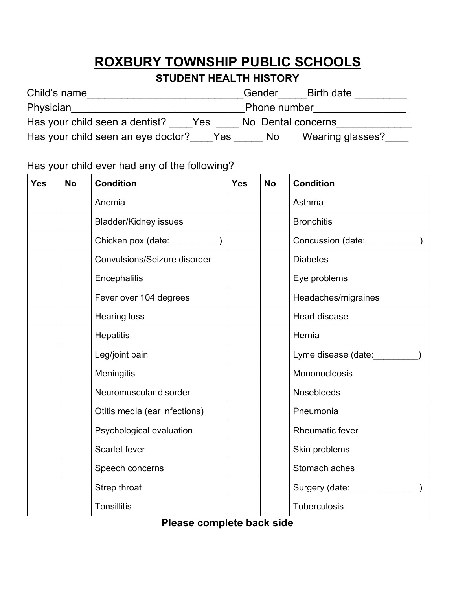## **ROXBURY TOWNSHIP PUBLIC SCHOOLS**

## **STUDENT HEALTH HISTORY**

| Child's name                              | Gender<br>Birth date   |  |
|-------------------------------------------|------------------------|--|
| Physician                                 | Phone number           |  |
| Has your child seen a dentist?<br>Yes     | No Dental concerns     |  |
| Has your child seen an eye doctor?<br>Yes | Wearing glasses?<br>No |  |

## Has your child ever had any of the following?

| <b>Yes</b> | <b>No</b> | <b>Condition</b>                     | <b>Yes</b> | <b>No</b> | <b>Condition</b>                            |
|------------|-----------|--------------------------------------|------------|-----------|---------------------------------------------|
|            |           | Anemia                               |            |           | Asthma                                      |
|            |           | <b>Bladder/Kidney issues</b>         |            |           | <b>Bronchitis</b>                           |
|            |           | Chicken pox (date: <b>__________</b> |            |           | Concussion (date: <b>www.inconcomponent</b> |
|            |           | Convulsions/Seizure disorder         |            |           | <b>Diabetes</b>                             |
|            |           | Encephalitis                         |            |           | Eye problems                                |
|            |           | Fever over 104 degrees               |            |           | Headaches/migraines                         |
|            |           | <b>Hearing loss</b>                  |            |           | <b>Heart disease</b>                        |
|            |           | <b>Hepatitis</b>                     |            |           | Hernia                                      |
|            |           | Leg/joint pain                       |            |           | Lyme disease (date:                         |
|            |           | <b>Meningitis</b>                    |            |           | Mononucleosis                               |
|            |           | Neuromuscular disorder               |            |           | <b>Nosebleeds</b>                           |
|            |           | Otitis media (ear infections)        |            |           | Pneumonia                                   |
|            |           | Psychological evaluation             |            |           | Rheumatic fever                             |
|            |           | Scarlet fever                        |            |           | Skin problems                               |
|            |           | Speech concerns                      |            |           | Stomach aches                               |
|            |           | Strep throat                         |            |           | Surgery (date:                              |
|            |           | <b>Tonsillitis</b>                   |            |           | <b>Tuberculosis</b>                         |

**Please complete back side**